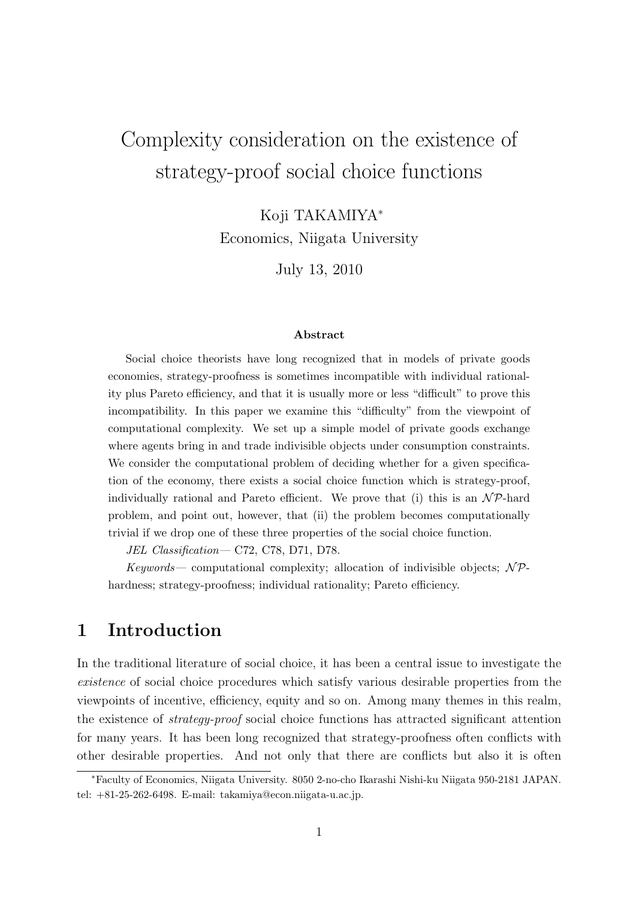# Complexity consideration on the existence of strategy-proof social choice functions

Koji TAKAMIYA<sup>∗</sup>

Economics, Niigata University

July 13, 2010

#### Abstract

Social choice theorists have long recognized that in models of private goods economies, strategy-proofness is sometimes incompatible with individual rationality plus Pareto efficiency, and that it is usually more or less "difficult" to prove this incompatibility. In this paper we examine this "difficulty" from the viewpoint of computational complexity. We set up a simple model of private goods exchange where agents bring in and trade indivisible objects under consumption constraints. We consider the computational problem of deciding whether for a given specification of the economy, there exists a social choice function which is strategy-proof, individually rational and Pareto efficient. We prove that (i) this is an  $\mathcal{NP}$ -hard problem, and point out, however, that (ii) the problem becomes computationally trivial if we drop one of these three properties of the social choice function.

JEL Classification— C72, C78, D71, D78.

Keywords— computational complexity; allocation of indivisible objects;  $N\mathcal{P}$ hardness; strategy-proofness; individual rationality; Pareto efficiency.

## 1 Introduction

In the traditional literature of social choice, it has been a central issue to investigate the existence of social choice procedures which satisfy various desirable properties from the viewpoints of incentive, efficiency, equity and so on. Among many themes in this realm, the existence of strategy-proof social choice functions has attracted significant attention for many years. It has been long recognized that strategy-proofness often conflicts with other desirable properties. And not only that there are conflicts but also it is often

<sup>∗</sup>Faculty of Economics, Niigata University. 8050 2-no-cho Ikarashi Nishi-ku Niigata 950-2181 JAPAN. tel: +81-25-262-6498. E-mail: takamiya@econ.niigata-u.ac.jp.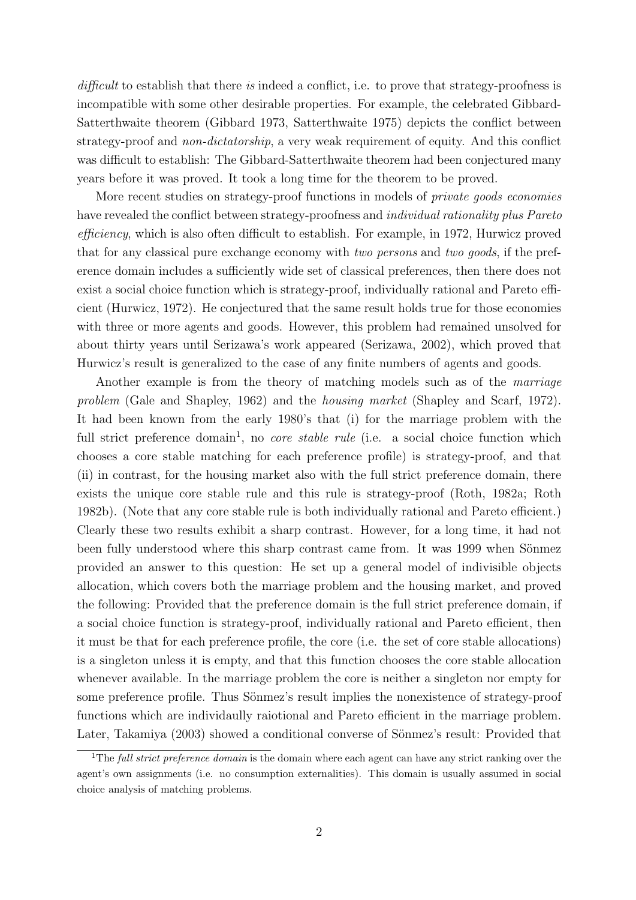difficult to establish that there is indeed a conflict, i.e. to prove that strategy-proofness is incompatible with some other desirable properties. For example, the celebrated Gibbard-Satterthwaite theorem (Gibbard 1973, Satterthwaite 1975) depicts the conflict between strategy-proof and non-dictatorship, a very weak requirement of equity. And this conflict was difficult to establish: The Gibbard-Satterthwaite theorem had been conjectured many years before it was proved. It took a long time for the theorem to be proved.

More recent studies on strategy-proof functions in models of *private goods economies* have revealed the conflict between strategy-proofness and *individual rationality plus Pareto* efficiency, which is also often difficult to establish. For example, in 1972, Hurwicz proved that for any classical pure exchange economy with two persons and two goods, if the preference domain includes a sufficiently wide set of classical preferences, then there does not exist a social choice function which is strategy-proof, individually rational and Pareto efficient (Hurwicz, 1972). He conjectured that the same result holds true for those economies with three or more agents and goods. However, this problem had remained unsolved for about thirty years until Serizawa's work appeared (Serizawa, 2002), which proved that Hurwicz's result is generalized to the case of any finite numbers of agents and goods.

Another example is from the theory of matching models such as of the marriage problem (Gale and Shapley, 1962) and the housing market (Shapley and Scarf, 1972). It had been known from the early 1980's that (i) for the marriage problem with the full strict preference domain<sup>1</sup>, no *core stable rule* (i.e. a social choice function which chooses a core stable matching for each preference profile) is strategy-proof, and that (ii) in contrast, for the housing market also with the full strict preference domain, there exists the unique core stable rule and this rule is strategy-proof (Roth, 1982a; Roth 1982b). (Note that any core stable rule is both individually rational and Pareto efficient.) Clearly these two results exhibit a sharp contrast. However, for a long time, it had not been fully understood where this sharp contrast came from. It was 1999 when Sönmez provided an answer to this question: He set up a general model of indivisible objects allocation, which covers both the marriage problem and the housing market, and proved the following: Provided that the preference domain is the full strict preference domain, if a social choice function is strategy-proof, individually rational and Pareto efficient, then it must be that for each preference profile, the core (i.e. the set of core stable allocations) is a singleton unless it is empty, and that this function chooses the core stable allocation whenever available. In the marriage problem the core is neither a singleton nor empty for some preference profile. Thus Sönmez's result implies the nonexistence of strategy-proof functions which are individaully raiotional and Pareto efficient in the marriage problem. Later, Takamiya (2003) showed a conditional converse of Sönmez's result: Provided that

<sup>&</sup>lt;sup>1</sup>The *full strict preference domain* is the domain where each agent can have any strict ranking over the agent's own assignments (i.e. no consumption externalities). This domain is usually assumed in social choice analysis of matching problems.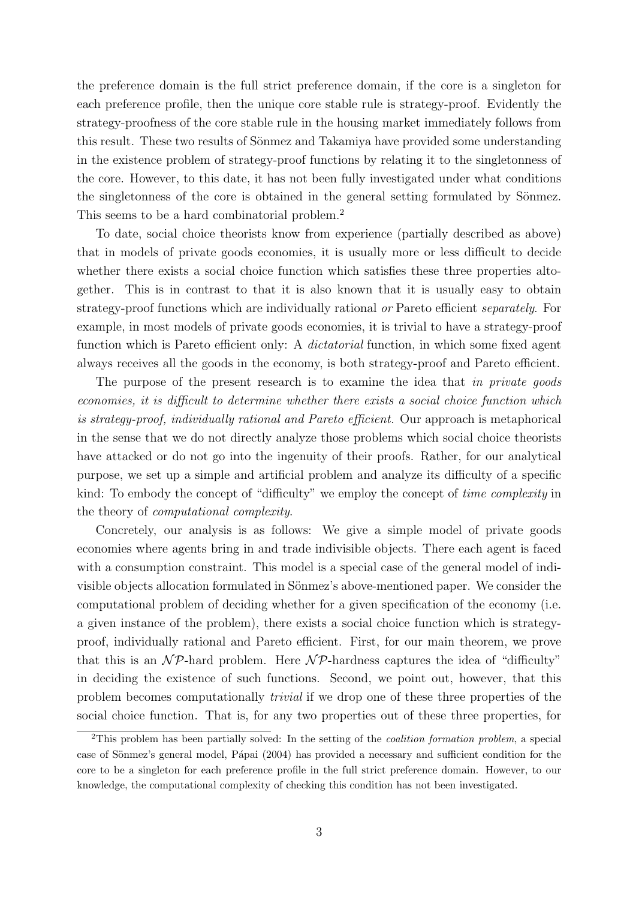the preference domain is the full strict preference domain, if the core is a singleton for each preference profile, then the unique core stable rule is strategy-proof. Evidently the strategy-proofness of the core stable rule in the housing market immediately follows from this result. These two results of Sönmez and Takamiya have provided some understanding in the existence problem of strategy-proof functions by relating it to the singletonness of the core. However, to this date, it has not been fully investigated under what conditions the singletonness of the core is obtained in the general setting formulated by Sönmez. This seems to be a hard combinatorial problem.<sup>2</sup>

To date, social choice theorists know from experience (partially described as above) that in models of private goods economies, it is usually more or less difficult to decide whether there exists a social choice function which satisfies these three properties altogether. This is in contrast to that it is also known that it is usually easy to obtain strategy-proof functions which are individually rational or Pareto efficient separately. For example, in most models of private goods economies, it is trivial to have a strategy-proof function which is Pareto efficient only: A *dictatorial* function, in which some fixed agent always receives all the goods in the economy, is both strategy-proof and Pareto efficient.

The purpose of the present research is to examine the idea that in private goods economies, it is difficult to determine whether there exists a social choice function which is strategy-proof, individually rational and Pareto efficient. Our approach is metaphorical in the sense that we do not directly analyze those problems which social choice theorists have attacked or do not go into the ingenuity of their proofs. Rather, for our analytical purpose, we set up a simple and artificial problem and analyze its difficulty of a specific kind: To embody the concept of "difficulty" we employ the concept of *time complexity* in the theory of computational complexity.

Concretely, our analysis is as follows: We give a simple model of private goods economies where agents bring in and trade indivisible objects. There each agent is faced with a consumption constraint. This model is a special case of the general model of indivisible objects allocation formulated in Sönmez's above-mentioned paper. We consider the computational problem of deciding whether for a given specification of the economy (i.e. a given instance of the problem), there exists a social choice function which is strategyproof, individually rational and Pareto efficient. First, for our main theorem, we prove that this is an  $N\mathcal{P}$ -hard problem. Here  $N\mathcal{P}$ -hardness captures the idea of "difficulty" in deciding the existence of such functions. Second, we point out, however, that this problem becomes computationally trivial if we drop one of these three properties of the social choice function. That is, for any two properties out of these three properties, for

<sup>&</sup>lt;sup>2</sup>This problem has been partially solved: In the setting of the *coalition formation problem*, a special case of Sönmez's general model, Pápai (2004) has provided a necessary and sufficient condition for the core to be a singleton for each preference profile in the full strict preference domain. However, to our knowledge, the computational complexity of checking this condition has not been investigated.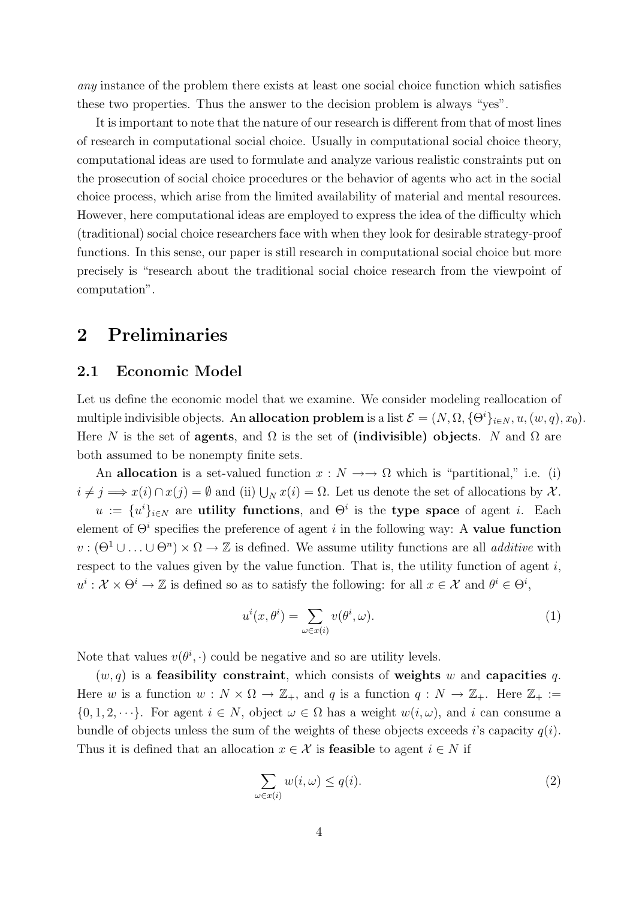any instance of the problem there exists at least one social choice function which satisfies these two properties. Thus the answer to the decision problem is always "yes".

It is important to note that the nature of our research is different from that of most lines of research in computational social choice. Usually in computational social choice theory, computational ideas are used to formulate and analyze various realistic constraints put on the prosecution of social choice procedures or the behavior of agents who act in the social choice process, which arise from the limited availability of material and mental resources. However, here computational ideas are employed to express the idea of the difficulty which (traditional) social choice researchers face with when they look for desirable strategy-proof functions. In this sense, our paper is still research in computational social choice but more precisely is "research about the traditional social choice research from the viewpoint of computation".

# 2 Preliminaries

## 2.1 Economic Model

Let us define the economic model that we examine. We consider modeling reallocation of multiple indivisible objects. An allocation problem is a list  $\mathcal{E} = (N, \Omega, {\Theta}^i]_{i \in N}, u, (w, q), x_0$ . Here N is the set of agents, and  $\Omega$  is the set of (indivisible) objects. N and  $\Omega$  are both assumed to be nonempty finite sets.

An allocation is a set-valued function  $x : N \longrightarrow \Omega$  which is "partitional," i.e. (i)  $i \neq j \Longrightarrow x(i) \cap x(j) = \emptyset$  and (ii)  $\bigcup_N x(i) = \Omega$ . Let us denote the set of allocations by X.  $u := \{u^i\}_{i \in \mathbb{N}}$  are utility functions, and  $\Theta^i$  is the type space of agent *i*. Each element of  $\Theta^i$  specifies the preference of agent i in the following way: A **value function**  $v : (\Theta^1 \cup \ldots \cup \Theta^n) \times \Omega \to \mathbb{Z}$  is defined. We assume utility functions are all *additive* with respect to the values given by the value function. That is, the utility function of agent  $i$ ,  $u^i: \mathcal{X} \times \Theta^i \to \mathbb{Z}$  is defined so as to satisfy the following: for all  $x \in \mathcal{X}$  and  $\theta^i \in \Theta^i$ ,

$$
u^{i}(x,\theta^{i}) = \sum_{\omega \in x(i)} v(\theta^{i},\omega).
$$
 (1)

Note that values  $v(\theta^i, \cdot)$  could be negative and so are utility levels.

 $(w, q)$  is a feasibility constraint, which consists of weights w and capacities q. Here w is a function  $w : N \times \Omega \to \mathbb{Z}_+$ , and q is a function  $q : N \to \mathbb{Z}_+$ . Here  $\mathbb{Z}_+ :=$  $\{0, 1, 2, \dots\}$ . For agent  $i \in N$ , object  $\omega \in \Omega$  has a weight  $w(i, \omega)$ , and i can consume a bundle of objects unless the sum of the weights of these objects exceeds i's capacity  $q(i)$ . Thus it is defined that an allocation  $x \in \mathcal{X}$  is **feasible** to agent  $i \in N$  if

$$
\sum_{\omega \in x(i)} w(i, \omega) \le q(i). \tag{2}
$$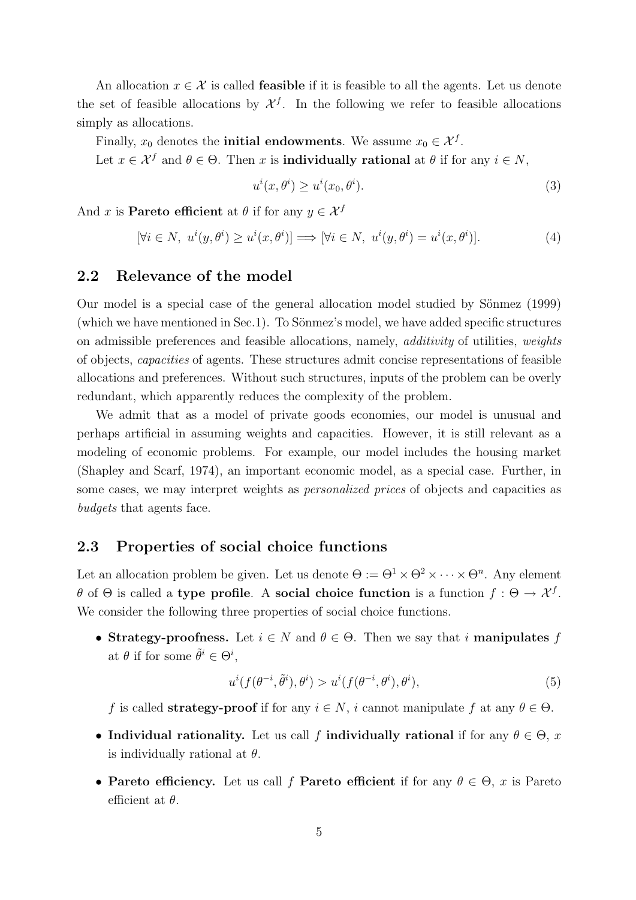An allocation  $x \in \mathcal{X}$  is called **feasible** if it is feasible to all the agents. Let us denote the set of feasible allocations by  $\mathcal{X}^f$ . In the following we refer to feasible allocations simply as allocations.

Finally,  $x_0$  denotes the **initial endowments**. We assume  $x_0 \in \mathcal{X}^f$ .

Let  $x \in \mathcal{X}^f$  and  $\theta \in \Theta$ . Then x is **individually rational** at  $\theta$  if for any  $i \in N$ ,

$$
u^{i}(x,\theta^{i}) \ge u^{i}(x_0,\theta^{i}).
$$
\n(3)

And x is **Pareto efficient** at  $\theta$  if for any  $y \in \mathcal{X}^f$ 

$$
[\forall i \in N, u^i(y, \theta^i) \ge u^i(x, \theta^i)] \Longrightarrow [\forall i \in N, u^i(y, \theta^i) = u^i(x, \theta^i)]. \tag{4}
$$

## 2.2 Relevance of the model

Our model is a special case of the general allocation model studied by Sönmez (1999) (which we have mentioned in Sec.1). To Sönmez's model, we have added specific structures on admissible preferences and feasible allocations, namely, additivity of utilities, weights of objects, capacities of agents. These structures admit concise representations of feasible allocations and preferences. Without such structures, inputs of the problem can be overly redundant, which apparently reduces the complexity of the problem.

We admit that as a model of private goods economies, our model is unusual and perhaps artificial in assuming weights and capacities. However, it is still relevant as a modeling of economic problems. For example, our model includes the housing market (Shapley and Scarf, 1974), an important economic model, as a special case. Further, in some cases, we may interpret weights as personalized prices of objects and capacities as budgets that agents face.

### 2.3 Properties of social choice functions

Let an allocation problem be given. Let us denote  $\Theta := \Theta^1 \times \Theta^2 \times \cdots \times \Theta^n$ . Any element θ of  $\Theta$  is called a type profile. A social choice function is a function  $f: \Theta \to \mathcal{X}^f$ . We consider the following three properties of social choice functions.

• Strategy-proofness. Let  $i \in N$  and  $\theta \in \Theta$ . Then we say that i manipulates f at  $\theta$  if for some  $\tilde{\theta}^i \in \Theta^i$ ,

$$
u^{i}(f(\theta^{-i},\tilde{\theta}^{i}),\theta^{i}) > u^{i}(f(\theta^{-i},\theta^{i}),\theta^{i}),
$$
\n
$$
(5)
$$

f is called **strategy-proof** if for any  $i \in N$ , i cannot manipulate f at any  $\theta \in \Theta$ .

- Individual rationality. Let us call f individually rational if for any  $\theta \in \Theta$ , x is individually rational at  $\theta$ .
- Pareto efficiency. Let us call f Pareto efficient if for any  $\theta \in \Theta$ , x is Pareto efficient at  $\theta$ .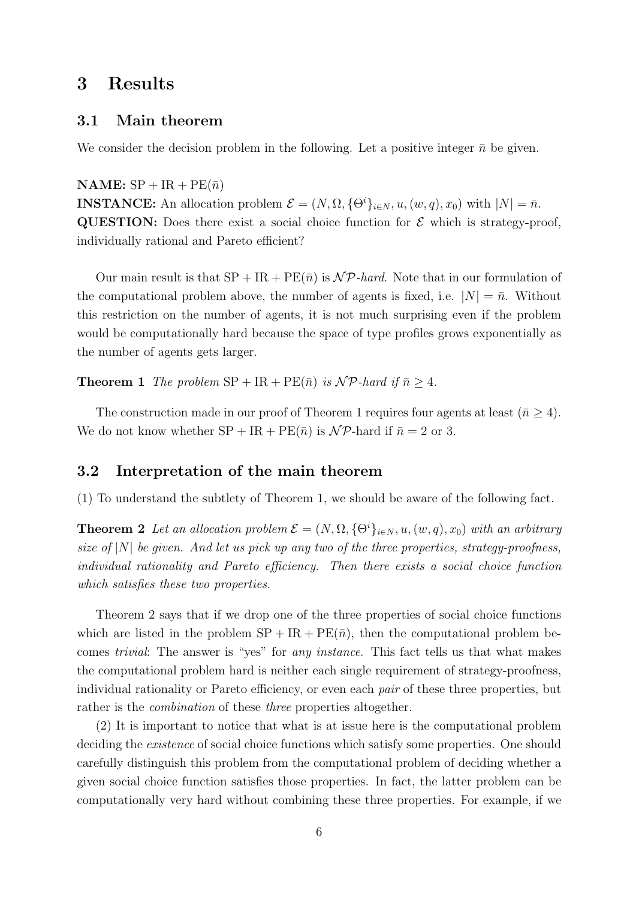# 3 Results

## 3.1 Main theorem

We consider the decision problem in the following. Let a positive integer  $\bar{n}$  be given.

#### NAME:  $SP + IR + PE(\bar{n})$

**INSTANCE:** An allocation problem  $\mathcal{E} = (N, \Omega, {\Theta}^i)_{i \in N}, u, (w, q), x_0)$  with  $|N| = \bar{n}$ . **QUESTION:** Does there exist a social choice function for  $\mathcal{E}$  which is strategy-proof, individually rational and Pareto efficient?

Our main result is that  $SP + IR + PE(\bar{n})$  is  $\mathcal{NP}$ -hard. Note that in our formulation of the computational problem above, the number of agents is fixed, i.e.  $|N| = \bar{n}$ . Without this restriction on the number of agents, it is not much surprising even if the problem would be computationally hard because the space of type profiles grows exponentially as the number of agents gets larger.

**Theorem 1** The problem  $SP + IR + PE(\bar{n})$  is  $\mathcal{NP}$ -hard if  $\bar{n} > 4$ .

The construction made in our proof of Theorem 1 requires four agents at least  $(\bar{n} \geq 4)$ . We do not know whether  $SP + IR + PE(\bar{n})$  is  $\mathcal{NP}$ -hard if  $\bar{n} = 2$  or 3.

## 3.2 Interpretation of the main theorem

(1) To understand the subtlety of Theorem 1, we should be aware of the following fact.

**Theorem 2** Let an allocation problem  $\mathcal{E} = (N, \Omega, {\Theta}^i)_{i \in N}, u, (w, q), x_0)$  with an arbitrary size of  $|N|$  be given. And let us pick up any two of the three properties, strategy-proofness, individual rationality and Pareto efficiency. Then there exists a social choice function which satisfies these two properties.

Theorem 2 says that if we drop one of the three properties of social choice functions which are listed in the problem  $SP + IR + PE(\bar{n})$ , then the computational problem becomes trivial: The answer is "yes" for any instance. This fact tells us that what makes the computational problem hard is neither each single requirement of strategy-proofness, individual rationality or Pareto efficiency, or even each pair of these three properties, but rather is the *combination* of these *three* properties altogether.

(2) It is important to notice that what is at issue here is the computational problem deciding the *existence* of social choice functions which satisfy some properties. One should carefully distinguish this problem from the computational problem of deciding whether a given social choice function satisfies those properties. In fact, the latter problem can be computationally very hard without combining these three properties. For example, if we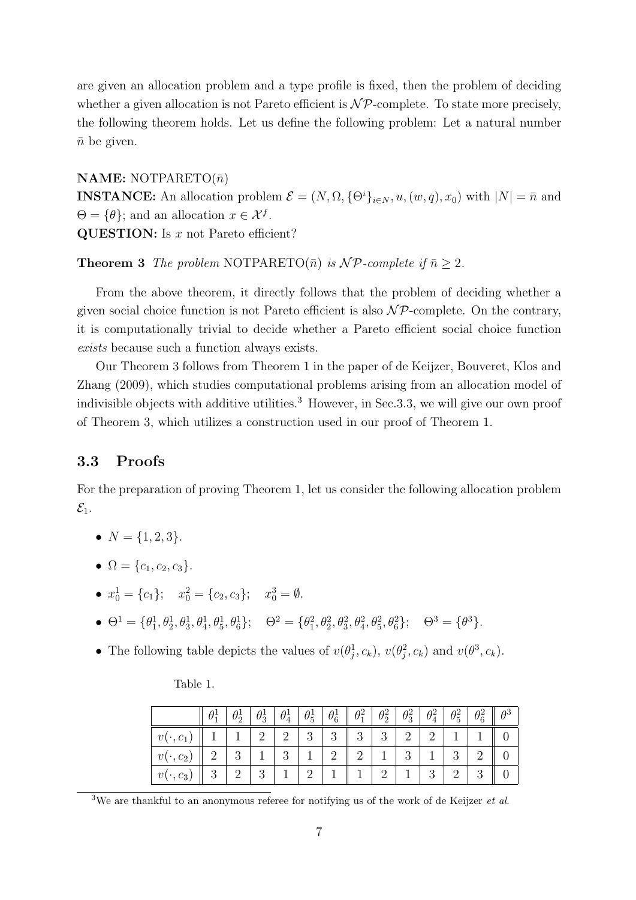are given an allocation problem and a type profile is fixed, then the problem of deciding whether a given allocation is not Pareto efficient is  $\mathcal{NP}$ -complete. To state more precisely, the following theorem holds. Let us define the following problem: Let a natural number  $\bar{n}$  be given.

### **NAME:** NOTPARETO $(\bar{n})$

**INSTANCE:** An allocation problem  $\mathcal{E} = (N, \Omega, {\Theta}^i)_{i \in N}, u, (w, q), x_0)$  with  $|N| = \bar{n}$  and  $\Theta = \{\theta\};$  and an allocation  $x \in \mathcal{X}^f$ .

QUESTION: Is  $x$  not Pareto efficient?

**Theorem 3** The problem NOTPARETO( $\bar{n}$ ) is NP-complete if  $\bar{n} > 2$ .

From the above theorem, it directly follows that the problem of deciding whether a given social choice function is not Pareto efficient is also  $\mathcal{NP}$ -complete. On the contrary, it is computationally trivial to decide whether a Pareto efficient social choice function exists because such a function always exists.

Our Theorem 3 follows from Theorem 1 in the paper of de Keijzer, Bouveret, Klos and Zhang (2009), which studies computational problems arising from an allocation model of indivisible objects with additive utilities.<sup>3</sup> However, in Sec. 3.3, we will give our own proof of Theorem 3, which utilizes a construction used in our proof of Theorem 1.

## 3.3 Proofs

For the preparation of proving Theorem 1, let us consider the following allocation problem  $\mathcal{E}_1$ .

- $N = \{1, 2, 3\}.$
- $\Omega = \{c_1, c_2, c_3\}.$
- $x_0^1 = \{c_1\}; \quad x_0^2 = \{c_2, c_3\}; \quad x_0^3 = \emptyset.$
- $\bullet$   $\Theta^1 = {\theta_1^1, \theta_2^1, \theta_3^1, \theta_4^1, \theta_5^1, \theta_6^1}; \quad \Theta^2 = {\theta_1^2, \theta_2^2, \theta_3^2, \theta_4^2, \theta_5^2, \theta_6^2}; \quad \Theta^3 = {\theta_3^3}.$
- The following table depicts the values of  $v(\theta_j^1, c_k)$ ,  $v(\theta_j^2, c_k)$  and  $v(\theta^3, c_k)$ .

Table 1.

|                                     |   |   | $\theta_3^1$ | $\theta^1_4$      | $\theta_5^1$   | $\theta_6^1$   | $\parallel \theta_1^2 \parallel$    | $\theta_2^2$ | $\theta_3^2$ | $\theta_4^2$ | $\theta_5^2$ | $\theta_e^2$ |  |
|-------------------------------------|---|---|--------------|-------------------|----------------|----------------|-------------------------------------|--------------|--------------|--------------|--------------|--------------|--|
| $\mathcal{C}_1$<br>$\boldsymbol{v}$ |   |   | 2            | $+2$ <sup>+</sup> | 3 <sup>7</sup> | 3 <sup>1</sup> | $\parallel 3 \parallel 3 \parallel$ |              | 2            | $2^{\circ}$  |              |              |  |
|                                     |   | റ |              | -3                |                | 2              |                                     |              | 3            |              | 3            |              |  |
| $\boldsymbol{v}$<br>$c_3$           | 3 |   | 3            |                   |                |                |                                     |              |              | 3            |              |              |  |

<sup>&</sup>lt;sup>3</sup>We are thankful to an anonymous referee for notifying us of the work of de Keijzer *et al.*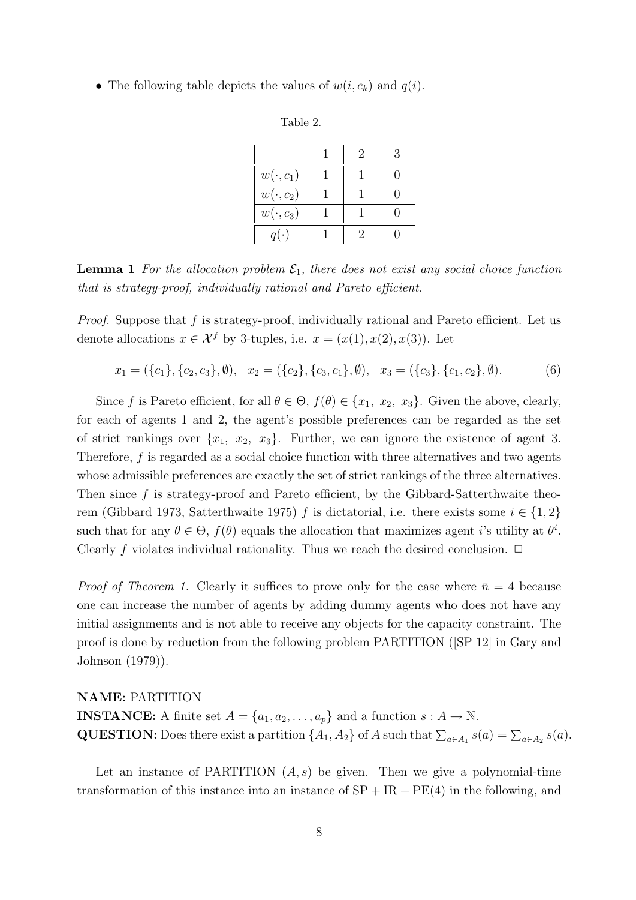• The following table depicts the values of  $w(i, c_k)$  and  $q(i)$ .

| `able |  |
|-------|--|
|-------|--|

|                 | $\mathcal{D}_{\mathcal{L}}$ | 3 |
|-----------------|-----------------------------|---|
| $w(\cdot, c_1)$ |                             |   |
| $w(\cdot, c_2)$ |                             |   |
| $w(\cdot, c_3)$ |                             |   |
| $q(\cdot)$      |                             |   |

**Lemma 1** For the allocation problem  $\mathcal{E}_1$ , there does not exist any social choice function that is strategy-proof, individually rational and Pareto efficient.

*Proof.* Suppose that  $f$  is strategy-proof, individually rational and Pareto efficient. Let us denote allocations  $x \in \mathcal{X}^f$  by 3-tuples, i.e.  $x = (x(1), x(2), x(3))$ . Let

$$
x_1 = (\{c_1\}, \{c_2, c_3\}, \emptyset), \quad x_2 = (\{c_2\}, \{c_3, c_1\}, \emptyset), \quad x_3 = (\{c_3\}, \{c_1, c_2\}, \emptyset).
$$
(6)

Since f is Pareto efficient, for all  $\theta \in \Theta$ ,  $f(\theta) \in \{x_1, x_2, x_3\}$ . Given the above, clearly, for each of agents 1 and 2, the agent's possible preferences can be regarded as the set of strict rankings over  $\{x_1, x_2, x_3\}$ . Further, we can ignore the existence of agent 3. Therefore,  $f$  is regarded as a social choice function with three alternatives and two agents whose admissible preferences are exactly the set of strict rankings of the three alternatives. Then since  $f$  is strategy-proof and Pareto efficient, by the Gibbard-Satterthwaite theorem (Gibbard 1973, Satterthwaite 1975) f is dictatorial, i.e. there exists some  $i \in \{1,2\}$ such that for any  $\theta \in \Theta$ ,  $f(\theta)$  equals the allocation that maximizes agent *i*'s utility at  $\theta$ <sup>*i*</sup>. Clearly f violates individual rationality. Thus we reach the desired conclusion.  $\Box$ 

*Proof of Theorem 1.* Clearly it suffices to prove only for the case where  $\bar{n} = 4$  because one can increase the number of agents by adding dummy agents who does not have any initial assignments and is not able to receive any objects for the capacity constraint. The proof is done by reduction from the following problem PARTITION ([SP 12] in Gary and Johnson (1979)).

#### NAME: PARTITION

**INSTANCE:** A finite set  $A = \{a_1, a_2, \ldots, a_p\}$  and a function  $s : A \to \mathbb{N}$ . **QUESTION:** Does there exist a partition  $\{A_1, A_2\}$  of A such that  $\sum_{a \in A_1} s(a) = \sum_{a \in A_2} s(a)$ .

Let an instance of PARTITION  $(A, s)$  be given. Then we give a polynomial-time transformation of this instance into an instance of  $SP + IR + PE(4)$  in the following, and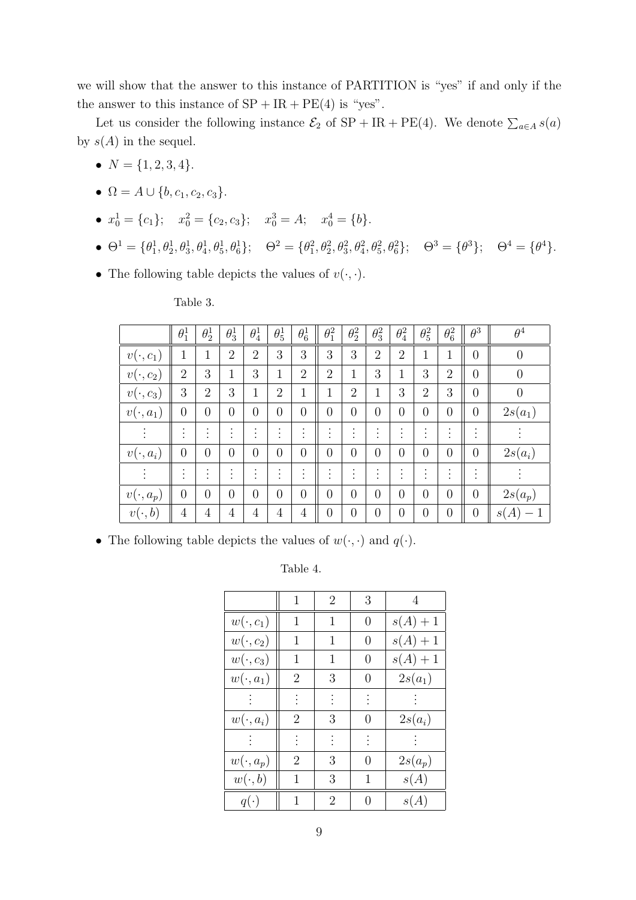we will show that the answer to this instance of PARTITION is "yes" if and only if the the answer to this instance of  $SP + IR + PE(4)$  is "yes".

Let us consider the following instance  $\mathcal{E}_2$  of  $SP + IR + PE(4)$ . We denote  $\sum_{a \in A} s(a)$ by  $s(A)$  in the sequel.

- $N = \{1, 2, 3, 4\}.$
- $\Omega = A \cup \{b, c_1, c_2, c_3\}.$
- $x_0^1 = \{c_1\};$   $x_0^2 = \{c_2, c_3\};$   $x_0^3 = A;$   $x_0^4 = \{b\}.$
- $\bullet$   $\Theta^1 = {\theta_1^1, \theta_2^1, \theta_3^1, \theta_4^1, \theta_5^1, \theta_6^1};$   $\Theta^2 = {\theta_1^2, \theta_2^2, \theta_3^2, \theta_4^2, \theta_5^2, \theta_6^2};$   $\Theta^3 = {\theta_3^3};$   $\Theta^4 = {\theta_1^4}.$
- The following table depicts the values of  $v(\cdot, \cdot)$ .

Table 3.

|                 | $\theta_1^1$                | $\theta_2^1$                        | $\theta_3^1$                             | $\theta_4^1$                     | $\theta_5^1$                        | $\theta_6^1$                      | $\theta_1^2$                      | $\theta_2^2$   | $\theta_3^2$                | $\theta_4^2$                | $\theta_5^2$                      | $\theta_6^2$                      | $\theta^3$                        | $\theta^4$       |
|-----------------|-----------------------------|-------------------------------------|------------------------------------------|----------------------------------|-------------------------------------|-----------------------------------|-----------------------------------|----------------|-----------------------------|-----------------------------|-----------------------------------|-----------------------------------|-----------------------------------|------------------|
| $v(\cdot, c_1)$ | 1                           | $\mathbf 1$                         | $\overline{2}$                           | $\overline{2}$                   | 3                                   | 3                                 | 3                                 | 3              | $\overline{2}$              | $\overline{2}$              | 1                                 | 1                                 | $\overline{0}$                    | $\boldsymbol{0}$ |
| $v(\cdot, c_2)$ | $\overline{2}$              | 3                                   | 1                                        | 3                                | 1                                   | $\overline{2}$                    | $\overline{2}$                    | 1              | 3                           | 1                           | 3                                 | $\overline{2}$                    | $\overline{0}$                    | $\boldsymbol{0}$ |
| $v(\cdot, c_3)$ | 3                           | $\overline{2}$                      | 3                                        | 1                                | $\overline{2}$                      | 1                                 | 1                                 | $\overline{2}$ | 1                           | 3                           | $\overline{2}$                    | 3                                 | $\overline{0}$                    | $\boldsymbol{0}$ |
| $v(\cdot,a_1)$  | $\overline{0}$              | $\overline{0}$                      | $\overline{0}$                           | $\overline{0}$                   | $\overline{0}$                      | $\overline{0}$                    | $\overline{0}$                    | $\overline{0}$ | $\overline{0}$              | $\overline{0}$              | $\overline{0}$                    | $\overline{0}$                    | $\overline{0}$                    | $2s(a_1)$        |
| $\ddot{\cdot}$  | $\bullet$<br>$\bullet$      | $\bullet$<br>$\bullet$<br>$\cdot$   | $\bullet$<br>$\bullet$<br>$\blacksquare$ | $\bullet$<br>$\blacksquare$      | ٠<br>$\bullet$<br>$\bullet$         | $\bullet$<br>$\bullet$<br>$\cdot$ | ٠<br>$\bullet$                    | $\bullet$      | $\bullet$<br>$\blacksquare$ | $\bullet$<br>$\blacksquare$ | $\cdot$<br>$\blacksquare$         | $\bullet$<br>$\bullet$<br>$\cdot$ | $\bullet$<br>$\cdot$              |                  |
| $v(\cdot, a_i)$ | $\overline{0}$              | $\overline{0}$                      | $\theta$                                 | $\overline{0}$                   | $\overline{0}$                      | $\overline{0}$                    | $\theta$                          | $\theta$       | $\overline{0}$              | $\overline{0}$              | $\overline{0}$                    | $\overline{0}$                    | $\overline{0}$                    | $2s(a_i)$        |
| $\cdot$         | $\bullet$<br>٠<br>$\bullet$ | $\bullet$<br>$\bullet$<br>$\bullet$ | $\bullet$<br>$\bullet$<br>$\bullet$      | ٠<br>$\bullet$<br>$\blacksquare$ | $\bullet$<br>$\bullet$<br>$\bullet$ | ٠<br>$\bullet$<br>$\cdot$         | $\bullet$<br>$\bullet$<br>$\cdot$ | $\bullet$      | $\bullet$<br>$\blacksquare$ | ٠<br>$\bullet$<br>$\cdot$   | $\bullet$<br>$\bullet$<br>$\cdot$ | $\bullet$<br>$\bullet$<br>$\cdot$ | $\bullet$<br>$\bullet$<br>$\cdot$ |                  |
| $v(\cdot,a_p)$  | $\overline{0}$              | $\overline{0}$                      | $\overline{0}$                           | $\overline{0}$                   | $\overline{0}$                      | $\overline{0}$                    | $\overline{0}$                    | $\overline{0}$ | $\overline{0}$              | $\overline{0}$              | $\overline{0}$                    | $\overline{0}$                    | $\overline{0}$                    | $2s(a_p)$        |
| $v(\cdot, b)$   | $\overline{4}$              | $\overline{4}$                      | $\overline{4}$                           | $\overline{4}$                   | $\overline{4}$                      | $\overline{4}$                    | $\overline{0}$                    | $\overline{0}$ | $\overline{0}$              | $\overline{0}$              | $\overline{0}$                    | $\overline{0}$                    | $\theta$                          | s(A)             |

• The following table depicts the values of  $w(\cdot, \cdot)$  and  $q(\cdot)$ .

Table 4.

|                 | 1              | $\overline{2}$ | 3                | $\overline{4}$ |
|-----------------|----------------|----------------|------------------|----------------|
| $w(\cdot, c_1)$ | 1              | 1              | 0                | $s(A) + 1$     |
| $w(\cdot, c_2)$ | 1              | 1              | 0                | $s(A)+1$       |
| $w(\cdot, c_3)$ | 1              | 1              | 0                | $s(A) + 1$     |
| $w(\cdot, a_1)$ | 2              | 3              | $\left( \right)$ | $2s(a_1)$      |
|                 |                |                |                  |                |
| $w(\cdot, a_i)$ | 2              | 3              | 0                | $2s(a_i)$      |
|                 |                |                |                  |                |
| $w(\cdot, a_p)$ | $\overline{2}$ | 3              | 0                | $2s(a_p)$      |
| $w(\cdot, b)$   | 1              | 3              | 1                | s(A)           |
| $q(\cdot)$      | 1              | $\overline{2}$ | 0                | s(A)           |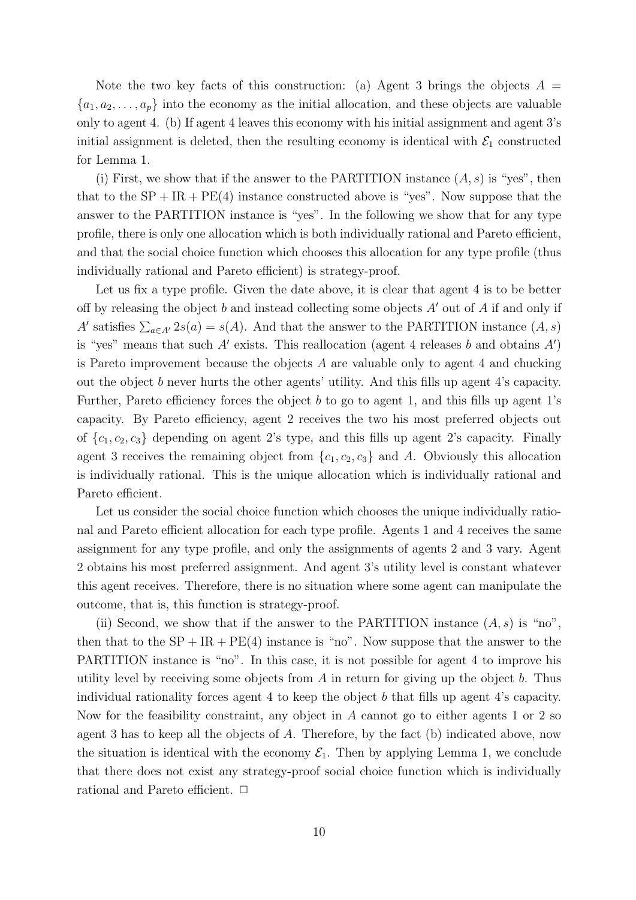Note the two key facts of this construction: (a) Agent 3 brings the objects  $A =$  ${a_1, a_2, \ldots, a_p}$  into the economy as the initial allocation, and these objects are valuable only to agent 4. (b) If agent 4 leaves this economy with his initial assignment and agent 3's initial assignment is deleted, then the resulting economy is identical with  $\mathcal{E}_1$  constructed for Lemma 1.

(i) First, we show that if the answer to the PARTITION instance  $(A, s)$  is "yes", then that to the  $SP + IR + PE(4)$  instance constructed above is "yes". Now suppose that the answer to the PARTITION instance is "yes". In the following we show that for any type profile, there is only one allocation which is both individually rational and Pareto efficient, and that the social choice function which chooses this allocation for any type profile (thus individually rational and Pareto efficient) is strategy-proof.

Let us fix a type profile. Given the date above, it is clear that agent 4 is to be better off by releasing the object  $b$  and instead collecting some objects  $A'$  out of  $A$  if and only if A' satisfies  $\sum_{a \in A'} 2s(a) = s(A)$ . And that the answer to the PARTITION instance  $(A, s)$ is "yes" means that such  $A'$  exists. This reallocation (agent 4 releases b and obtains  $A'$ ) is Pareto improvement because the objects A are valuable only to agent 4 and chucking out the object b never hurts the other agents' utility. And this fills up agent 4's capacity. Further, Pareto efficiency forces the object  $b$  to go to agent 1, and this fills up agent 1's capacity. By Pareto efficiency, agent 2 receives the two his most preferred objects out of  ${c_1, c_2, c_3}$  depending on agent 2's type, and this fills up agent 2's capacity. Finally agent 3 receives the remaining object from  $\{c_1, c_2, c_3\}$  and A. Obviously this allocation is individually rational. This is the unique allocation which is individually rational and Pareto efficient.

Let us consider the social choice function which chooses the unique individually rational and Pareto efficient allocation for each type profile. Agents 1 and 4 receives the same assignment for any type profile, and only the assignments of agents 2 and 3 vary. Agent 2 obtains his most preferred assignment. And agent 3's utility level is constant whatever this agent receives. Therefore, there is no situation where some agent can manipulate the outcome, that is, this function is strategy-proof.

(ii) Second, we show that if the answer to the PARTITION instance  $(A, s)$  is "no", then that to the  $SP + IR + PE(4)$  instance is "no". Now suppose that the answer to the PARTITION instance is "no". In this case, it is not possible for agent 4 to improve his utility level by receiving some objects from  $A$  in return for giving up the object  $b$ . Thus individual rationality forces agent 4 to keep the object b that fills up agent 4's capacity. Now for the feasibility constraint, any object in A cannot go to either agents 1 or 2 so agent 3 has to keep all the objects of A. Therefore, by the fact (b) indicated above, now the situation is identical with the economy  $\mathcal{E}_1$ . Then by applying Lemma 1, we conclude that there does not exist any strategy-proof social choice function which is individually rational and Pareto efficient.  $\Box$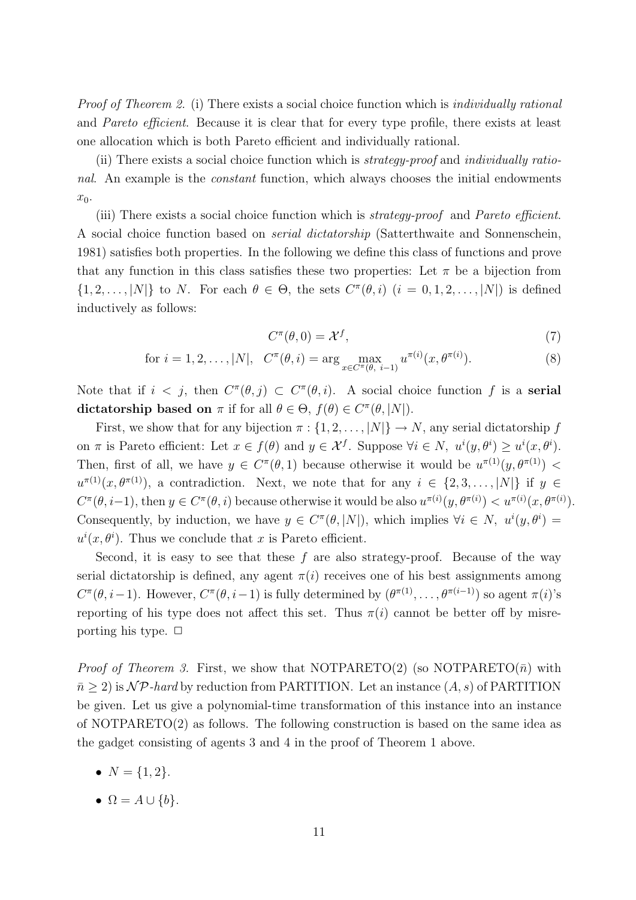Proof of Theorem 2. (i) There exists a social choice function which is *individually rational* and Pareto efficient. Because it is clear that for every type profile, there exists at least one allocation which is both Pareto efficient and individually rational.

(ii) There exists a social choice function which is strategy-proof and individually rational. An example is the constant function, which always chooses the initial endowments  $x_0$ .

(iii) There exists a social choice function which is strategy-proof and Pareto efficient. A social choice function based on serial dictatorship (Satterthwaite and Sonnenschein, 1981) satisfies both properties. In the following we define this class of functions and prove that any function in this class satisfies these two properties: Let  $\pi$  be a bijection from  $\{1, 2, \ldots, |N|\}$  to N. For each  $\theta \in \Theta$ , the sets  $C^{\pi}(\theta, i)$   $(i = 0, 1, 2, \ldots, |N|)$  is defined inductively as follows:

$$
C^{\pi}(\theta,0) = \mathcal{X}^f,\tag{7}
$$

for 
$$
i = 1, 2, ..., |N|
$$
,  $C^{\pi}(\theta, i) = \arg \max_{x \in C^{\pi}(\theta, i-1)} u^{\pi(i)}(x, \theta^{\pi(i)})$ . (8)

Note that if  $i < j$ , then  $C^{\pi}(\theta, j) \subset C^{\pi}(\theta, i)$ . A social choice function f is a **serial** dictatorship based on  $\pi$  if for all  $\theta \in \Theta$ ,  $f(\theta) \in C^{\pi}(\theta, |N|)$ .

First, we show that for any bijection  $\pi : \{1, 2, ..., |N|\} \rightarrow N$ , any serial dictatorship f on  $\pi$  is Pareto efficient: Let  $x \in f(\theta)$  and  $y \in \mathcal{X}^f$ . Suppose  $\forall i \in \mathbb{N}, u^i(y, \theta^i) \geq u^i(x, \theta^i)$ . Then, first of all, we have  $y \in C^{\pi}(\theta, 1)$  because otherwise it would be  $u^{\pi(1)}(y, \theta^{\pi(1)})$  $u^{\pi(1)}(x,\theta^{\pi(1)})$ , a contradiction. Next, we note that for any  $i \in \{2,3,\ldots,|N|\}$  if  $y \in$  $C^{\pi}(\theta, i-1)$ , then  $y \in C^{\pi}(\theta, i)$  because otherwise it would be also  $u^{\pi(i)}(y, \theta^{\pi(i)}) < u^{\pi(i)}(x, \theta^{\pi(i)})$ . Consequently, by induction, we have  $y \in C^{\pi}(\theta, |N|)$ , which implies  $\forall i \in N$ ,  $u^{i}(y, \theta^{i}) =$  $u^i(x, \theta^i)$ . Thus we conclude that x is Pareto efficient.

Second, it is easy to see that these  $f$  are also strategy-proof. Because of the way serial dictatorship is defined, any agent  $\pi(i)$  receives one of his best assignments among  $C^{\pi}(\theta, i-1)$ . However,  $C^{\pi}(\theta, i-1)$  is fully determined by  $(\theta^{\pi(1)}, \ldots, \theta^{\pi(i-1)})$  so agent  $\pi(i)$ 's reporting of his type does not affect this set. Thus  $\pi(i)$  cannot be better off by misreporting his type.  $\Box$ 

*Proof of Theorem 3.* First, we show that NOTPARETO(2) (so NOTPARETO( $\bar{n}$ ) with  $\bar{n} > 2$ ) is NP-hard by reduction from PARTITION. Let an instance  $(A, s)$  of PARTITION be given. Let us give a polynomial-time transformation of this instance into an instance of NOTPARETO(2) as follows. The following construction is based on the same idea as the gadget consisting of agents 3 and 4 in the proof of Theorem 1 above.

- $N = \{1, 2\}.$
- $\Omega = A \cup \{b\}.$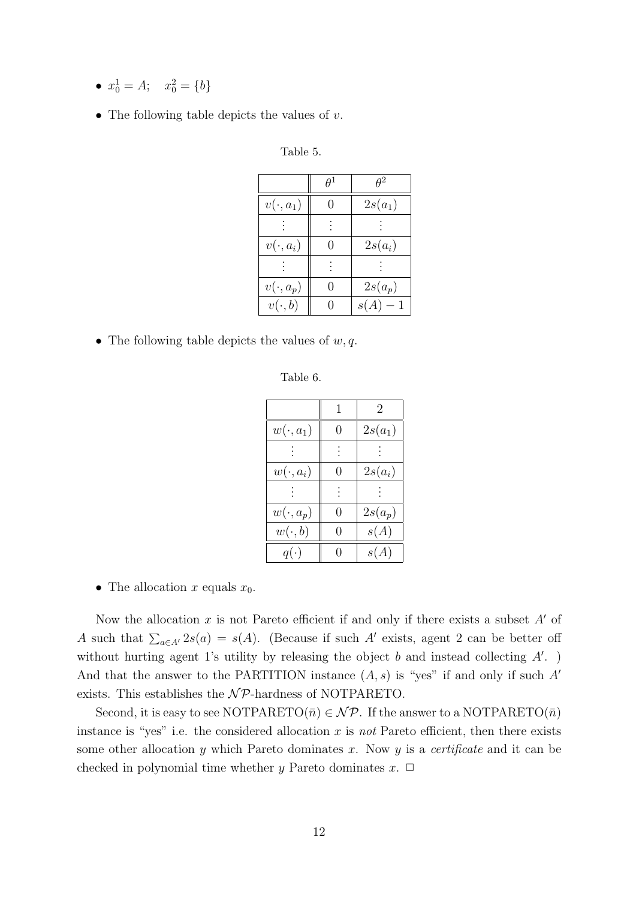- $x_0^1 = A; \quad x_0^2 = \{b\}$
- The following table depicts the values of  $v$ .

| Table 5. |  |
|----------|--|
|----------|--|

|                 |                  | $\theta^2$ |
|-----------------|------------------|------------|
| $v(\cdot,a_1)$  | $\theta$         | $2s(a_1)$  |
|                 |                  |            |
| $v(\cdot, a_i)$ | $\mathbf{0}$     | $2s(a_i)$  |
|                 |                  |            |
| $v(\cdot,a_p)$  | $\left( \right)$ | $2s(a_p)$  |
| $v(\cdot, b)$   | $\mathbf{0}$     | $s(A)-1$   |

• The following table depicts the values of  $w, q$ .

Table 6.

|                 |                  | 2         |
|-----------------|------------------|-----------|
| $w(\cdot, a_1)$ | 0                | $2s(a_1)$ |
|                 |                  |           |
| $w(\cdot, a_i)$ | $\left( \right)$ | $2s(a_i)$ |
|                 |                  |           |
| $w(\cdot, a_p)$ | 0                | $2s(a_p)$ |
| $w(\cdot, b)$   | 0                | s(A)      |
| $q(\cdot)$      |                  | s(A)      |

• The allocation x equals  $x_0$ .

Now the allocation x is not Pareto efficient if and only if there exists a subset  $A'$  of A such that  $\sum_{a \in A'} 2s(a) = s(A)$ . (Because if such A' exists, agent 2 can be better off without hurting agent 1's utility by releasing the object  $b$  and instead collecting  $A'$ . And that the answer to the PARTITION instance  $(A, s)$  is "yes" if and only if such A' exists. This establishes the  $N\mathcal{P}$ -hardness of NOTPARETO.

Second, it is easy to see NOTPARETO( $\bar{n}$ )  $\in$  NP. If the answer to a NOTPARETO( $\bar{n}$ ) instance is "yes" i.e. the considered allocation  $x$  is not Pareto efficient, then there exists some other allocation y which Pareto dominates x. Now y is a *certificate* and it can be checked in polynomial time whether y Pareto dominates  $x$ .  $\Box$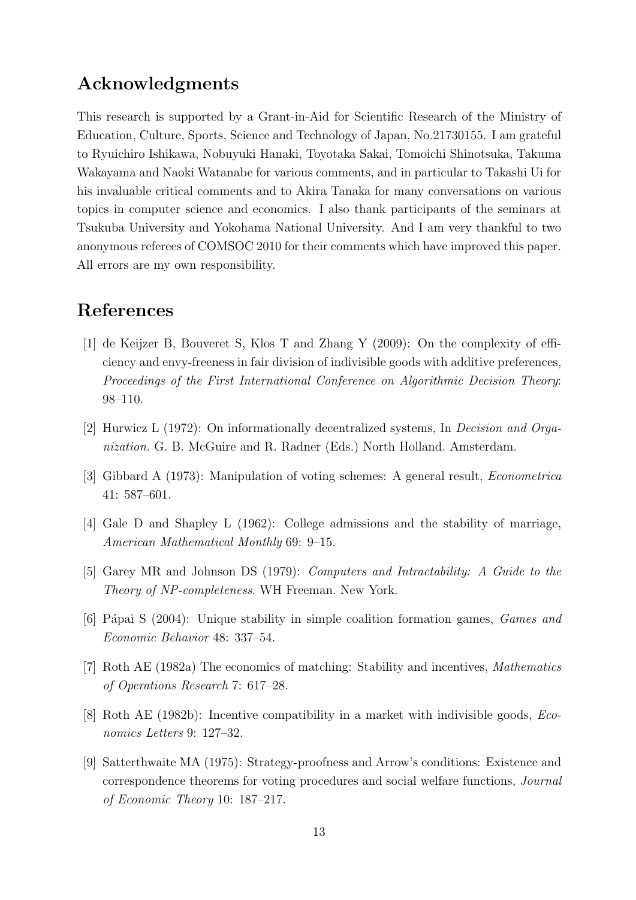# Acknowledgments

This research is supported by a Grant-in-Aid for Scientific Research of the Ministry of Education, Culture, Sports, Science and Technology of Japan, No.21730155. I am grateful to Ryuichiro Ishikawa, Nobuyuki Hanaki, Toyotaka Sakai, Tomoichi Shinotsuka, Takuma Wakayama and Naoki Watanabe for various comments, and in particular to Takashi Ui for his invaluable critical comments and to Akira Tanaka for many conversations on various topics in computer science and economics. I also thank participants of the seminars at Tsukuba University and Yokohama National University. And I am very thankful to two anonymous referees of COMSOC 2010 for their comments which have improved this paper. All errors are my own responsibility.

## References

- [1] de Keijzer B, Bouveret S, Klos T and Zhang Y (2009): On the complexity of efficiency and envy-freeness in fair division of indivisible goods with additive preferences, Proceedings of the First International Conference on Algorithmic Decision Theory: 98–110.
- [2] Hurwicz L (1972): On informationally decentralized systems, In Decision and Organization. G. B. McGuire and R. Radner (Eds.) North Holland. Amsterdam.
- [3] Gibbard A (1973): Manipulation of voting schemes: A general result, Econometrica 41: 587–601.
- [4] Gale D and Shapley L (1962): College admissions and the stability of marriage, American Mathematical Monthly 69: 9–15.
- [5] Garey MR and Johnson DS (1979): Computers and Intractability: A Guide to the Theory of NP-completeness. WH Freeman. New York.
- [6] Pápai S (2004): Unique stability in simple coalition formation games, *Games and* Economic Behavior 48: 337–54.
- [7] Roth AE (1982a) The economics of matching: Stability and incentives, Mathematics of Operations Research 7: 617–28.
- [8] Roth AE (1982b): Incentive compatibility in a market with indivisible goods, Economics Letters 9: 127–32.
- [9] Satterthwaite MA (1975): Strategy-proofness and Arrow's conditions: Existence and correspondence theorems for voting procedures and social welfare functions, Journal of Economic Theory 10: 187–217.